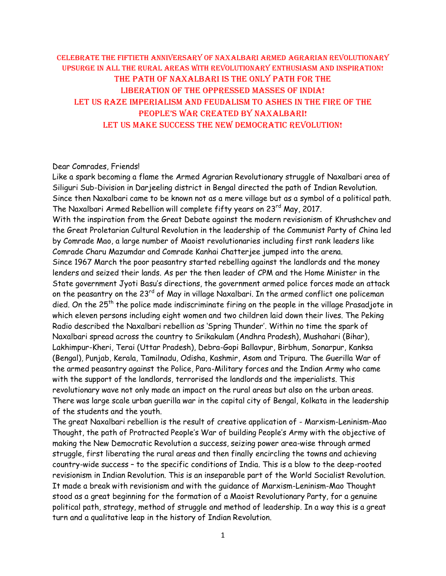## Celebrate the Fiftieth Anniversary of Naxalbari Armed AGRARIAN Revolutionary UPSURGE in all the rural areas with revolutionary enthusiasm and inspiration! THE PATH OF Naxalbari is the only path for the liberation of the oppressed masses of india! Let us raze imperialism and feudalism to ashes in the fire of the People's War created by Naxalbari! LET US MAKE SUCCESS THE NEW DEMOCRATIC REVOLUTION!

## Dear Comrades, Friends!

Like a spark becoming a flame the Armed Agrarian Revolutionary struggle of Naxalbari area of Siliguri Sub-Division in Darjeeling district in Bengal directed the path of Indian Revolution. Since then Naxalbari came to be known not as a mere village but as a symbol of a political path. The Naxalbari Armed Rebellion will complete fifty years on  $23<sup>rd</sup>$  May, 2017.

With the inspiration from the Great Debate against the modern revisionism of Khrushchev and the Great Proletarian Cultural Revolution in the leadership of the Communist Party of China led by Comrade Mao, a large number of Maoist revolutionaries including first rank leaders like Comrade Charu Mazumdar and Comrade Kanhai Chatterjee jumped into the arena.

Since 1967 March the poor peasantry started rebelling against the landlords and the money lenders and seized their lands. As per the then leader of CPM and the Home Minister in the State government Jyoti Basu's directions, the government armed police forces made an attack on the peasantry on the 23<sup>rd</sup> of May in village Naxalbari. In the armed conflict one policeman died. On the 25<sup>th</sup> the police made indiscriminate firing on the people in the village Prasadjote in which eleven persons including eight women and two children laid down their lives. The Peking Radio described the Naxalbari rebellion as 'Spring Thunder'. Within no time the spark of Naxalbari spread across the country to Srikakulam (Andhra Pradesh), Mushahari (Bihar), Lakhimpur-Kheri, Terai (Uttar Pradesh), Debra-Gopi Ballavpur, Birbhum, Sonarpur, Kanksa (Bengal), Punjab, Kerala, Tamilnadu, Odisha, Kashmir, Asom and Tripura. The Guerilla War of the armed peasantry against the Police, Para-Military forces and the Indian Army who came with the support of the landlords, terrorised the landlords and the imperialists. This revolutionary wave not only made an impact on the rural areas but also on the urban areas. There was large scale urban guerilla war in the capital city of Bengal, Kolkata in the leadership of the students and the youth.

The great Naxalbari rebellion is the result of creative application of - Marxism-Leninism-Mao Thought, the path of Protracted People's War of building People's Army with the objective of making the New Democratic Revolution a success, seizing power area-wise through armed struggle, first liberating the rural areas and then finally encircling the towns and achieving country-wide success – to the specific conditions of India. This is a blow to the deep-rooted revisionism in Indian Revolution. This is an inseparable part of the World Socialist Revolution. It made a break with revisionism and with the guidance of Marxism-Leninism-Mao Thought stood as a great beginning for the formation of a Maoist Revolutionary Party, for a genuine political path, strategy, method of struggle and method of leadership. In a way this is a great turn and a qualitative leap in the history of Indian Revolution.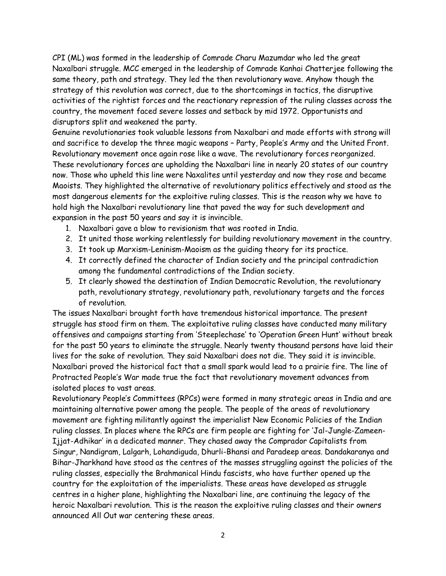CPI (ML) was formed in the leadership of Comrade Charu Mazumdar who led the great Naxalbari struggle. MCC emerged in the leadership of Comrade Kanhai Chatterjee following the same theory, path and strategy. They led the then revolutionary wave. Anyhow though the strategy of this revolution was correct, due to the shortcomings in tactics, the disruptive activities of the rightist forces and the reactionary repression of the ruling classes across the country, the movement faced severe losses and setback by mid 1972. Opportunists and disruptors split and weakened the party.

Genuine revolutionaries took valuable lessons from Naxalbari and made efforts with strong will and sacrifice to develop the three magic weapons – Party, People's Army and the United Front. Revolutionary movement once again rose like a wave. The revolutionary forces reorganized. These revolutionary forces are upholding the Naxalbari line in nearly 20 states of our country now. Those who upheld this line were Naxalites until yesterday and now they rose and became Maoists. They highlighted the alternative of revolutionary politics effectively and stood as the most dangerous elements for the exploitive ruling classes. This is the reason why we have to hold high the Naxalbari revolutionary line that paved the way for such development and expansion in the past 50 years and say it is invincible.

- 1. Naxalbari gave a blow to revisionism that was rooted in India.
- 2. It united those working relentlessly for building revolutionary movement in the country.
- 3. It took up Marxism-Leninism-Maoism as the guiding theory for its practice.
- 4. It correctly defined the character of Indian society and the principal contradiction among the fundamental contradictions of the Indian society.
- 5. It clearly showed the destination of Indian Democratic Revolution, the revolutionary path, revolutionary strategy, revolutionary path, revolutionary targets and the forces of revolution.

The issues Naxalbari brought forth have tremendous historical importance. The present struggle has stood firm on them. The exploitative ruling classes have conducted many military offensives and campaigns starting from 'Steeplechase' to 'Operation Green Hunt' without break for the past 50 years to eliminate the struggle. Nearly twenty thousand persons have laid their lives for the sake of revolution. They said Naxalbari does not die. They said it is invincible. Naxalbari proved the historical fact that a small spark would lead to a prairie fire. The line of Protracted People's War made true the fact that revolutionary movement advances from isolated places to vast areas.

Revolutionary People's Committees (RPCs) were formed in many strategic areas in India and are maintaining alternative power among the people. The people of the areas of revolutionary movement are fighting militantly against the imperialist New Economic Policies of the Indian ruling classes. In places where the RPCs are firm people are fighting for 'Jal-Jungle-Zameen-Ijjat-Adhikar' in a dedicated manner. They chased away the Comprador Capitalists from Singur, Nandigram, Lalgarh, Lohandiguda, Dhurli-Bhansi and Paradeep areas. Dandakaranya and Bihar-Jharkhand have stood as the centres of the masses struggling against the policies of the ruling classes, especially the Brahmanical Hindu fascists, who have further opened up the country for the exploitation of the imperialists. These areas have developed as struggle centres in a higher plane, highlighting the Naxalbari line, are continuing the legacy of the heroic Naxalbari revolution. This is the reason the exploitive ruling classes and their owners announced All Out war centering these areas.